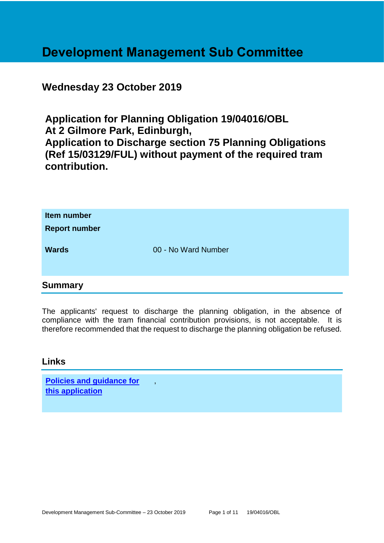# **Development Management Sub Committee**

# **Wednesday 23 October 2019**

**Application for Planning Obligation 19/04016/OBL At 2 Gilmore Park, Edinburgh, Application to Discharge section 75 Planning Obligations (Ref 15/03129/FUL) without payment of the required tram contribution.**

| Item number<br><b>Report number</b> |                     |  |
|-------------------------------------|---------------------|--|
| <b>Wards</b>                        | 00 - No Ward Number |  |
| <b>Summary</b>                      |                     |  |

The applicants' request to discharge the planning obligation, in the absence of compliance with the tram financial contribution provisions, is not acceptable. It is therefore recommended that the request to discharge the planning obligation be refused.

#### **Links**

| <b>Policies and guidance for</b> |  |
|----------------------------------|--|
| this application                 |  |

,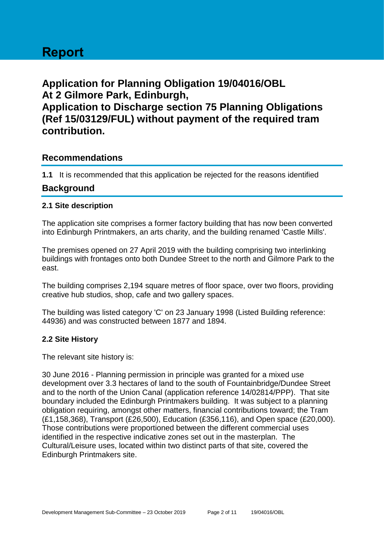# **Report**

**Application for Planning Obligation 19/04016/OBL At 2 Gilmore Park, Edinburgh, Application to Discharge section 75 Planning Obligations (Ref 15/03129/FUL) without payment of the required tram contribution.**

## **Recommendations**

**1.1** It is recommended that this application be rejected for the reasons identified

## **Background**

#### **2.1 Site description**

The application site comprises a former factory building that has now been converted into Edinburgh Printmakers, an arts charity, and the building renamed 'Castle Mills'.

The premises opened on 27 April 2019 with the building comprising two interlinking buildings with frontages onto both Dundee Street to the north and Gilmore Park to the east.

The building comprises 2,194 square metres of floor space, over two floors, providing creative hub studios, shop, cafe and two gallery spaces.

The building was listed category 'C' on 23 January 1998 (Listed Building reference: 44936) and was constructed between 1877 and 1894.

#### **2.2 Site History**

The relevant site history is:

30 June 2016 - Planning permission in principle was granted for a mixed use development over 3.3 hectares of land to the south of Fountainbridge/Dundee Street and to the north of the Union Canal (application reference 14/02814/PPP). That site boundary included the Edinburgh Printmakers building. It was subject to a planning obligation requiring, amongst other matters, financial contributions toward; the Tram (£1,158,368), Transport (£26,500), Education (£356,116), and Open space (£20,000). Those contributions were proportioned between the different commercial uses identified in the respective indicative zones set out in the masterplan. The Cultural/Leisure uses, located within two distinct parts of that site, covered the Edinburgh Printmakers site.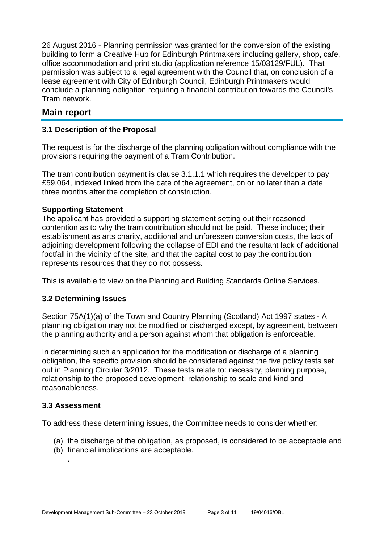26 August 2016 - Planning permission was granted for the conversion of the existing building to form a Creative Hub for Edinburgh Printmakers including gallery, shop, cafe, office accommodation and print studio (application reference 15/03129/FUL). That permission was subject to a legal agreement with the Council that, on conclusion of a lease agreement with City of Edinburgh Council, Edinburgh Printmakers would conclude a planning obligation requiring a financial contribution towards the Council's Tram network.

# **Main report**

#### **3.1 Description of the Proposal**

The request is for the discharge of the planning obligation without compliance with the provisions requiring the payment of a Tram Contribution.

The tram contribution payment is clause 3.1.1.1 which requires the developer to pay £59,064, indexed linked from the date of the agreement, on or no later than a date three months after the completion of construction.

#### **Supporting Statement**

The applicant has provided a supporting statement setting out their reasoned contention as to why the tram contribution should not be paid. These include; their establishment as arts charity, additional and unforeseen conversion costs, the lack of adjoining development following the collapse of EDI and the resultant lack of additional footfall in the vicinity of the site, and that the capital cost to pay the contribution represents resources that they do not possess.

This is available to view on the Planning and Building Standards Online Services.

#### **3.2 Determining Issues**

Section 75A(1)(a) of the Town and Country Planning (Scotland) Act 1997 states - A planning obligation may not be modified or discharged except, by agreement, between the planning authority and a person against whom that obligation is enforceable.

In determining such an application for the modification or discharge of a planning obligation, the specific provision should be considered against the five policy tests set out in Planning Circular 3/2012. These tests relate to: necessity, planning purpose, relationship to the proposed development, relationship to scale and kind and reasonableness.

#### **3.3 Assessment**

.

To address these determining issues, the Committee needs to consider whether:

- (a) the discharge of the obligation, as proposed, is considered to be acceptable and
- (b) financial implications are acceptable.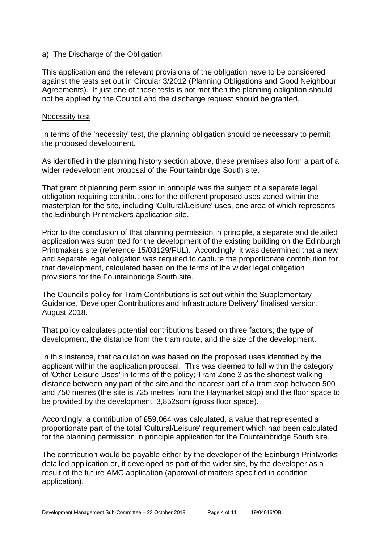#### a) The Discharge of the Obligation

This application and the relevant provisions of the obligation have to be considered against the tests set out in Circular 3/2012 (Planning Obligations and Good Neighbour Agreements). If just one of those tests is not met then the planning obligation should not be applied by the Council and the discharge request should be granted.

#### Necessity test

In terms of the 'necessity' test, the planning obligation should be necessary to permit the proposed development.

As identified in the planning history section above, these premises also form a part of a wider redevelopment proposal of the Fountainbridge South site.

That grant of planning permission in principle was the subject of a separate legal obligation requiring contributions for the different proposed uses zoned within the masterplan for the site, including 'Cultural/Leisure' uses, one area of which represents the Edinburgh Printmakers application site.

Prior to the conclusion of that planning permission in principle, a separate and detailed application was submitted for the development of the existing building on the Edinburgh Printmakers site (reference 15/03129/FUL). Accordingly, it was determined that a new and separate legal obligation was required to capture the proportionate contribution for that development, calculated based on the terms of the wider legal obligation provisions for the Fountainbridge South site.

The Council's policy for Tram Contributions is set out within the Supplementary Guidance, 'Developer Contributions and Infrastructure Delivery' finalised version, August 2018.

That policy calculates potential contributions based on three factors; the type of development, the distance from the tram route, and the size of the development.

In this instance, that calculation was based on the proposed uses identified by the applicant within the application proposal. This was deemed to fall within the category of 'Other Leisure Uses' in terms of the policy; Tram Zone 3 as the shortest walking distance between any part of the site and the nearest part of a tram stop between 500 and 750 metres (the site is 725 metres from the Haymarket stop) and the floor space to be provided by the development, 3,852sqm (gross floor space).

Accordingly, a contribution of £59,064 was calculated, a value that represented a proportionate part of the total 'Cultural/Leisure' requirement which had been calculated for the planning permission in principle application for the Fountainbridge South site.

The contribution would be payable either by the developer of the Edinburgh Printworks detailed application or, if developed as part of the wider site, by the developer as a result of the future AMC application (approval of matters specified in condition application).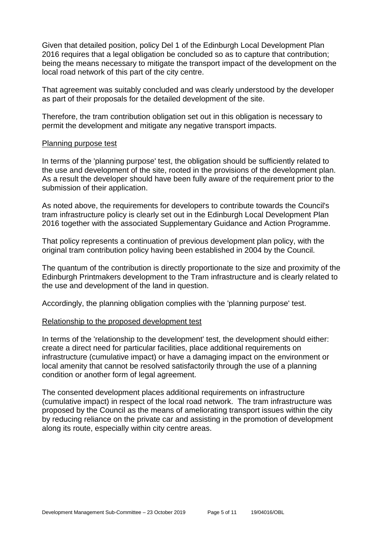Given that detailed position, policy Del 1 of the Edinburgh Local Development Plan 2016 requires that a legal obligation be concluded so as to capture that contribution; being the means necessary to mitigate the transport impact of the development on the local road network of this part of the city centre.

That agreement was suitably concluded and was clearly understood by the developer as part of their proposals for the detailed development of the site.

Therefore, the tram contribution obligation set out in this obligation is necessary to permit the development and mitigate any negative transport impacts.

#### Planning purpose test

In terms of the 'planning purpose' test, the obligation should be sufficiently related to the use and development of the site, rooted in the provisions of the development plan. As a result the developer should have been fully aware of the requirement prior to the submission of their application.

As noted above, the requirements for developers to contribute towards the Council's tram infrastructure policy is clearly set out in the Edinburgh Local Development Plan 2016 together with the associated Supplementary Guidance and Action Programme.

That policy represents a continuation of previous development plan policy, with the original tram contribution policy having been established in 2004 by the Council.

The quantum of the contribution is directly proportionate to the size and proximity of the Edinburgh Printmakers development to the Tram infrastructure and is clearly related to the use and development of the land in question.

Accordingly, the planning obligation complies with the 'planning purpose' test.

#### Relationship to the proposed development test

In terms of the 'relationship to the development' test, the development should either: create a direct need for particular facilities, place additional requirements on infrastructure (cumulative impact) or have a damaging impact on the environment or local amenity that cannot be resolved satisfactorily through the use of a planning condition or another form of legal agreement.

The consented development places additional requirements on infrastructure (cumulative impact) in respect of the local road network. The tram infrastructure was proposed by the Council as the means of ameliorating transport issues within the city by reducing reliance on the private car and assisting in the promotion of development along its route, especially within city centre areas.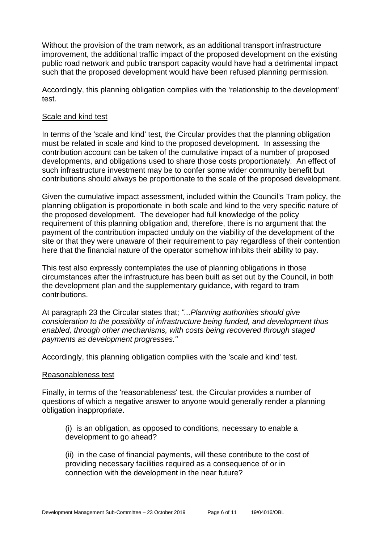Without the provision of the tram network, as an additional transport infrastructure improvement, the additional traffic impact of the proposed development on the existing public road network and public transport capacity would have had a detrimental impact such that the proposed development would have been refused planning permission.

Accordingly, this planning obligation complies with the 'relationship to the development' test.

#### Scale and kind test

In terms of the 'scale and kind' test, the Circular provides that the planning obligation must be related in scale and kind to the proposed development. In assessing the contribution account can be taken of the cumulative impact of a number of proposed developments, and obligations used to share those costs proportionately. An effect of such infrastructure investment may be to confer some wider community benefit but contributions should always be proportionate to the scale of the proposed development.

Given the cumulative impact assessment, included within the Council's Tram policy, the planning obligation is proportionate in both scale and kind to the very specific nature of the proposed development. The developer had full knowledge of the policy requirement of this planning obligation and, therefore, there is no argument that the payment of the contribution impacted unduly on the viability of the development of the site or that they were unaware of their requirement to pay regardless of their contention here that the financial nature of the operator somehow inhibits their ability to pay.

This test also expressly contemplates the use of planning obligations in those circumstances after the infrastructure has been built as set out by the Council, in both the development plan and the supplementary guidance, with regard to tram contributions.

At paragraph 23 the Circular states that; *"...Planning authorities should give consideration to the possibility of infrastructure being funded, and development thus enabled, through other mechanisms, with costs being recovered through staged payments as development progresses."*

Accordingly, this planning obligation complies with the 'scale and kind' test.

#### Reasonableness test

Finally, in terms of the 'reasonableness' test, the Circular provides a number of questions of which a negative answer to anyone would generally render a planning obligation inappropriate.

(i) is an obligation, as opposed to conditions, necessary to enable a development to go ahead?

(ii) in the case of financial payments, will these contribute to the cost of providing necessary facilities required as a consequence of or in connection with the development in the near future?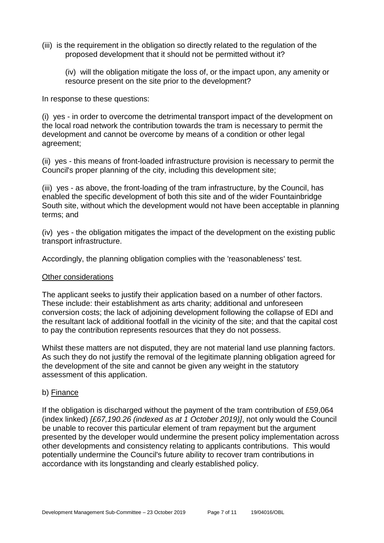(iii) is the requirement in the obligation so directly related to the regulation of the proposed development that it should not be permitted without it?

(iv) will the obligation mitigate the loss of, or the impact upon, any amenity or resource present on the site prior to the development?

In response to these questions:

(i) yes - in order to overcome the detrimental transport impact of the development on the local road network the contribution towards the tram is necessary to permit the development and cannot be overcome by means of a condition or other legal agreement;

(ii) yes - this means of front-loaded infrastructure provision is necessary to permit the Council's proper planning of the city, including this development site;

(iii) yes - as above, the front-loading of the tram infrastructure, by the Council, has enabled the specific development of both this site and of the wider Fountainbridge South site, without which the development would not have been acceptable in planning terms; and

(iv) yes - the obligation mitigates the impact of the development on the existing public transport infrastructure.

Accordingly, the planning obligation complies with the 'reasonableness' test.

#### Other considerations

The applicant seeks to justify their application based on a number of other factors. These include: their establishment as arts charity; additional and unforeseen conversion costs; the lack of adjoining development following the collapse of EDI and the resultant lack of additional footfall in the vicinity of the site; and that the capital cost to pay the contribution represents resources that they do not possess.

Whilst these matters are not disputed, they are not material land use planning factors. As such they do not justify the removal of the legitimate planning obligation agreed for the development of the site and cannot be given any weight in the statutory assessment of this application.

#### b) Finance

If the obligation is discharged without the payment of the tram contribution of £59,064 (index linked) *[£67,190.26 (indexed as at 1 October 2019)]*, not only would the Council be unable to recover this particular element of tram repayment but the argument presented by the developer would undermine the present policy implementation across other developments and consistency relating to applicants contributions. This would potentially undermine the Council's future ability to recover tram contributions in accordance with its longstanding and clearly established policy.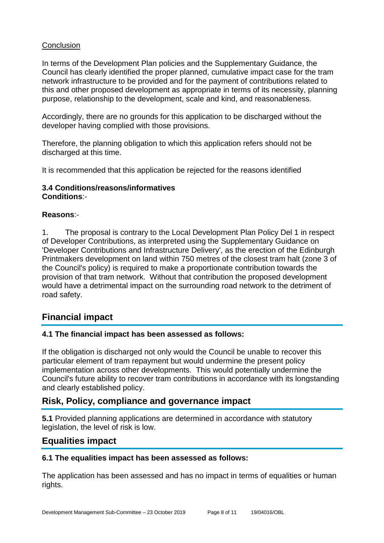#### **Conclusion**

In terms of the Development Plan policies and the Supplementary Guidance, the Council has clearly identified the proper planned, cumulative impact case for the tram network infrastructure to be provided and for the payment of contributions related to this and other proposed development as appropriate in terms of its necessity, planning purpose, relationship to the development, scale and kind, and reasonableness.

Accordingly, there are no grounds for this application to be discharged without the developer having complied with those provisions.

Therefore, the planning obligation to which this application refers should not be discharged at this time.

It is recommended that this application be rejected for the reasons identified

#### **3.4 Conditions/reasons/informatives Conditions**:-

#### **Reasons**:-

1. The proposal is contrary to the Local Development Plan Policy Del 1 in respect of Developer Contributions, as interpreted using the Supplementary Guidance on 'Developer Contributions and Infrastructure Delivery', as the erection of the Edinburgh Printmakers development on land within 750 metres of the closest tram halt (zone 3 of the Council's policy) is required to make a proportionate contribution towards the provision of that tram network. Without that contribution the proposed development would have a detrimental impact on the surrounding road network to the detriment of road safety.

# **Financial impact**

#### **4.1 The financial impact has been assessed as follows:**

If the obligation is discharged not only would the Council be unable to recover this particular element of tram repayment but would undermine the present policy implementation across other developments. This would potentially undermine the Council's future ability to recover tram contributions in accordance with its longstanding and clearly established policy.

#### **Risk, Policy, compliance and governance impact**

**5.1** Provided planning applications are determined in accordance with statutory legislation, the level of risk is low.

#### **Equalities impact**

#### **6.1 The equalities impact has been assessed as follows:**

The application has been assessed and has no impact in terms of equalities or human rights.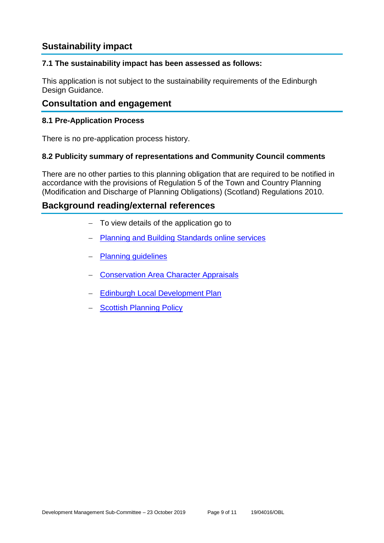# **Sustainability impact**

#### **7.1 The sustainability impact has been assessed as follows:**

This application is not subject to the sustainability requirements of the Edinburgh Design Guidance.

# **Consultation and engagement**

#### **8.1 Pre-Application Process**

There is no pre-application process history.

#### **8.2 Publicity summary of representations and Community Council comments**

There are no other parties to this planning obligation that are required to be notified in accordance with the provisions of Regulation 5 of the Town and Country Planning (Modification and Discharge of Planning Obligations) (Scotland) Regulations 2010.

## **Background reading/external references**

- − To view details of the application go to
- − [Planning and Building Standards online services](https://citydev-portal.edinburgh.gov.uk/idoxpa-web/search.do?action=simple&searchType=Application)
- − [Planning guidelines](http://www.edinburgh.gov.uk/planningguidelines)
- − [Conservation Area Character Appraisals](http://www.edinburgh.gov.uk/characterappraisals)
- − [Edinburgh Local Development Plan](http://www.edinburgh.gov.uk/localdevelopmentplan)
- − [Scottish Planning Policy](http://www.scotland.gov.uk/Topics/Built-Environment/planning/Policy)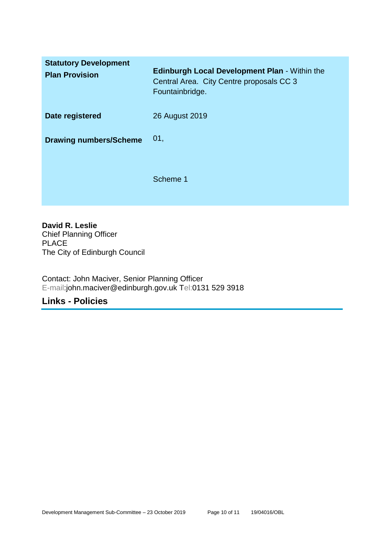| <b>Statutory Development</b><br><b>Plan Provision</b> | <b>Edinburgh Local Development Plan - Within the</b><br>Central Area. City Centre proposals CC 3<br>Fountainbridge. |
|-------------------------------------------------------|---------------------------------------------------------------------------------------------------------------------|
| Date registered                                       | 26 August 2019                                                                                                      |
| <b>Drawing numbers/Scheme</b>                         | 01,                                                                                                                 |
|                                                       | Scheme 1                                                                                                            |

**David R. Leslie** Chief Planning Officer PLACE The City of Edinburgh Council

Contact: John Maciver, Senior Planning Officer E-mail:john.maciver@edinburgh.gov.uk Tel:0131 529 3918

# **Links - Policies**